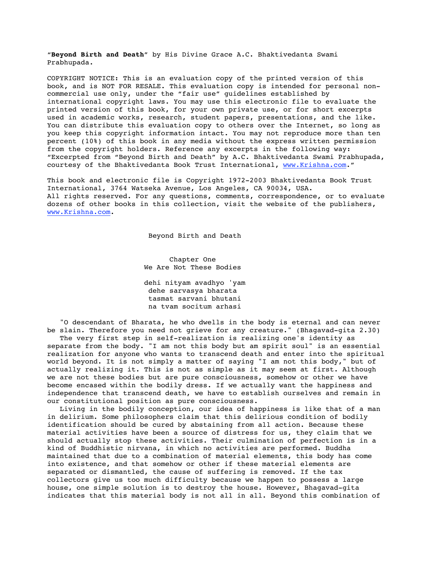"**Beyond Birth and Death**" by His Divine Grace A.C. Bhaktivedanta Swami Prabhupada.

COPYRIGHT NOTICE: This is an evaluation copy of the printed version of this book, and is NOT FOR RESALE. This evaluation copy is intended for personal noncommercial use only, under the "fair use" guidelines established by international copyright laws. You may use this electronic file to evaluate the printed version of this book, for your own private use, or for short excerpts used in academic works, research, student papers, presentations, and the like. You can distribute this evaluation copy to others over the Internet, so long as you keep this copyright information intact. You may not reproduce more than ten percent (10%) of this book in any media without the express written permission from the copyright holders. Reference any excerpts in the following way: "Excerpted from "Beyond Birth and Death" by A.C. Bhaktivedanta Swami Prabhupada, courtesy of the Bhaktivedanta Book Trust International, www.Krishna.com."

This book and electronic file is Copyright 1972-2003 Bhaktivedanta Book Trust International, 3764 Watseka Avenue, Los Angeles, CA 90034, USA. All rights reserved. For any questions, comments, correspondence, or to evaluate dozens of other books in this collection, visit the website of the publishers, www.Krishna.com.

Beyond Birth and Death

 Chapter One We Are Not These Bodies

 dehi nityam avadhyo 'yam dehe sarvasya bharata tasmat sarvani bhutani na tvam socitum arhasi

 "O descendant of Bharata, he who dwells in the body is eternal and can never be slain. Therefore you need not grieve for any creature." (Bhagavad-gita 2.30)

 The very first step in self-realization is realizing one's identity as separate from the body. "I am not this body but am spirit soul" is an essential realization for anyone who wants to transcend death and enter into the spiritual world beyond. It is not simply a matter of saying "I am not this body," but of actually realizing it. This is not as simple as it may seem at first. Although we are not these bodies but are pure consciousness, somehow or other we have become encased within the bodily dress. If we actually want the happiness and independence that transcend death, we have to establish ourselves and remain in our constitutional position as pure consciousness.

 Living in the bodily conception, our idea of happiness is like that of a man in delirium. Some philosophers claim that this delirious condition of bodily identification should be cured by abstaining from all action. Because these material activities have been a source of distress for us, they claim that we should actually stop these activities. Their culmination of perfection is in a kind of Buddhistic nirvana, in which no activities are performed. Buddha maintained that due to a combination of material elements, this body has come into existence, and that somehow or other if these material elements are separated or dismantled, the cause of suffering is removed. If the tax collectors give us too much difficulty because we happen to possess a large house, one simple solution is to destroy the house. However, Bhagavad-gita indicates that this material body is not all in all. Beyond this combination of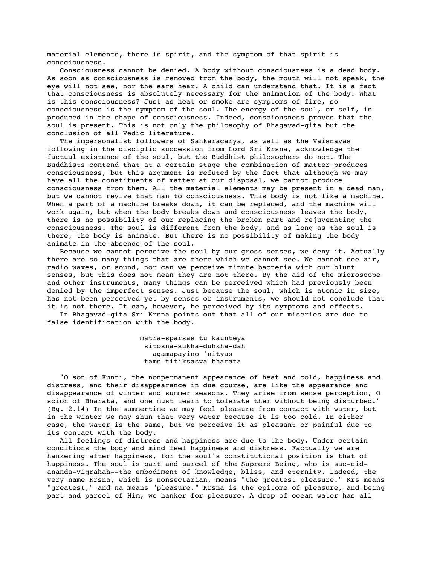material elements, there is spirit, and the symptom of that spirit is consciousness.

 Consciousness cannot be denied. A body without consciousness is a dead body. As soon as consciousness is removed from the body, the mouth will not speak, the eye will not see, nor the ears hear. A child can understand that. It is a fact that consciousness is absolutely necessary for the animation of the body. What is this consciousness? Just as heat or smoke are symptoms of fire, so consciousness is the symptom of the soul. The energy of the soul, or self, is produced in the shape of consciousness. Indeed, consciousness proves that the soul is present. This is not only the philosophy of Bhagavad-gita but the conclusion of all Vedic literature.

 The impersonalist followers of Sankaracarya, as well as the Vaisnavas following in the disciplic succession from Lord Sri Krsna, acknowledge the factual existence of the soul, but the Buddhist philosophers do not. The Buddhists contend that at a certain stage the combination of matter produces consciousness, but this argument is refuted by the fact that although we may have all the constituents of matter at our disposal, we cannot produce consciousness from them. All the material elements may be present in a dead man, but we cannot revive that man to consciousness. This body is not like a machine. When a part of a machine breaks down, it can be replaced, and the machine will work again, but when the body breaks down and consciousness leaves the body, there is no possibility of our replacing the broken part and rejuvenating the consciousness. The soul is different from the body, and as long as the soul is there, the body is animate. But there is no possibility of making the body animate in the absence of the soul.

 Because we cannot perceive the soul by our gross senses, we deny it. Actually there are so many things that are there which we cannot see. We cannot see air, radio waves, or sound, nor can we perceive minute bacteria with our blunt senses, but this does not mean they are not there. By the aid of the microscope and other instruments, many things can be perceived which had previously been denied by the imperfect senses. Just because the soul, which is atomic in size, has not been perceived yet by senses or instruments, we should not conclude that it is not there. It can, however, be perceived by its symptoms and effects.

 In Bhagavad-gita Sri Krsna points out that all of our miseries are due to false identification with the body.

> matra-sparsas tu kaunteya sitosna-sukha-duhkha-dah agamapayino 'nityas tams titiksasva bharata

 "O son of Kunti, the nonpermanent appearance of heat and cold, happiness and distress, and their disappearance in due course, are like the appearance and disappearance of winter and summer seasons. They arise from sense perception, O scion of Bharata, and one must learn to tolerate them without being disturbed." (Bg. 2.14) In the summertime we may feel pleasure from contact with water, but in the winter we may shun that very water because it is too cold. In either case, the water is the same, but we perceive it as pleasant or painful due to its contact with the body.

 All feelings of distress and happiness are due to the body. Under certain conditions the body and mind feel happiness and distress. Factually we are hankering after happiness, for the soul's constitutional position is that of happiness. The soul is part and parcel of the Supreme Being, who is sac-cidananda-vigrahah--the embodiment of knowledge, bliss, and eternity. Indeed, the very name Krsna, which is nonsectarian, means "the greatest pleasure." Krs means "greatest," and na means "pleasure." Krsna is the epitome of pleasure, and being part and parcel of Him, we hanker for pleasure. A drop of ocean water has all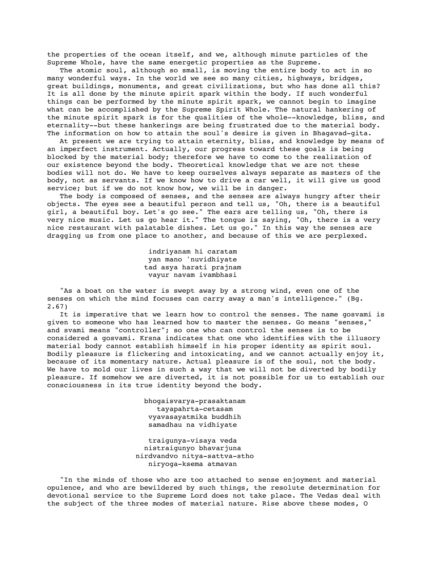the properties of the ocean itself, and we, although minute particles of the Supreme Whole, have the same energetic properties as the Supreme.

 The atomic soul, although so small, is moving the entire body to act in so many wonderful ways. In the world we see so many cities, highways, bridges, great buildings, monuments, and great civilizations, but who has done all this? It is all done by the minute spirit spark within the body. If such wonderful things can be performed by the minute spirit spark, we cannot begin to imagine what can be accomplished by the Supreme Spirit Whole. The natural hankering of the minute spirit spark is for the qualities of the whole--knowledge, bliss, and eternality--but these hankerings are being frustrated due to the material body. The information on how to attain the soul's desire is given in Bhagavad-gita.

 At present we are trying to attain eternity, bliss, and knowledge by means of an imperfect instrument. Actually, our progress toward these goals is being blocked by the material body; therefore we have to come to the realization of our existence beyond the body. Theoretical knowledge that we are not these bodies will not do. We have to keep ourselves always separate as masters of the body, not as servants. If we know how to drive a car well, it will give us good service; but if we do not know how, we will be in danger.

 The body is composed of senses, and the senses are always hungry after their objects. The eyes see a beautiful person and tell us, "Oh, there is a beautiful girl, a beautiful boy. Let's go see." The ears are telling us, "Oh, there is very nice music. Let us go hear it." The tongue is saying, "Oh, there is a very nice restaurant with palatable dishes. Let us go." In this way the senses are dragging us from one place to another, and because of this we are perplexed.

> indriyanam hi caratam yan mano 'nuvidhiyate tad asya harati prajnam vayur navam ivambhasi

 "As a boat on the water is swept away by a strong wind, even one of the senses on which the mind focuses can carry away a man's intelligence." (Bg. 2.67)

 It is imperative that we learn how to control the senses. The name gosvami is given to someone who has learned how to master the senses. Go means "senses," and svami means "controller"; so one who can control the senses is to be considered a gosvami. Krsna indicates that one who identifies with the illusory material body cannot establish himself in his proper identity as spirit soul. Bodily pleasure is flickering and intoxicating, and we cannot actually enjoy it, because of its momentary nature. Actual pleasure is of the soul, not the body. We have to mold our lives in such a way that we will not be diverted by bodily pleasure. If somehow we are diverted, it is not possible for us to establish our consciousness in its true identity beyond the body.

> bhogaisvarya-prasaktanam tayapahrta-cetasam vyavasayatmika buddhih samadhau na vidhiyate

 traigunya-visaya veda nistraigunyo bhavarjuna nirdvandvo nitya-sattva-stho niryoga-ksema atmavan

 "In the minds of those who are too attached to sense enjoyment and material opulence, and who are bewildered by such things, the resolute determination for devotional service to the Supreme Lord does not take place. The Vedas deal with the subject of the three modes of material nature. Rise above these modes, O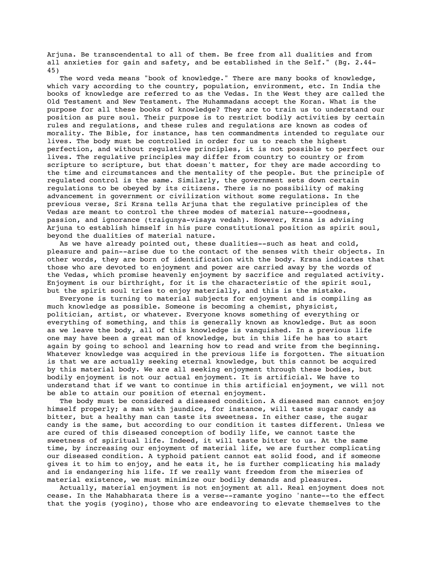Arjuna. Be transcendental to all of them. Be free from all dualities and from all anxieties for gain and safety, and be established in the Self." (Bg. 2.44- 45)

 The word veda means "book of knowledge." There are many books of knowledge, which vary according to the country, population, environment, etc. In India the books of knowledge are referred to as the Vedas. In the West they are called the Old Testament and New Testament. The Muhammadans accept the Koran. What is the purpose for all these books of knowledge? They are to train us to understand our position as pure soul. Their purpose is to restrict bodily activities by certain rules and regulations, and these rules and regulations are known as codes of morality. The Bible, for instance, has ten commandments intended to regulate our lives. The body must be controlled in order for us to reach the highest perfection, and without regulative principles, it is not possible to perfect our lives. The regulative principles may differ from country to country or from scripture to scripture, but that doesn't matter, for they are made according to the time and circumstances and the mentality of the people. But the principle of regulated control is the same. Similarly, the government sets down certain regulations to be obeyed by its citizens. There is no possibility of making advancement in government or civilization without some regulations. In the previous verse, Sri Krsna tells Arjuna that the regulative principles of the Vedas are meant to control the three modes of material nature--goodness, passion, and ignorance (traigunya-visaya vedah). However, Krsna is advising Arjuna to establish himself in his pure constitutional position as spirit soul, beyond the dualities of material nature.

 As we have already pointed out, these dualities--such as heat and cold, pleasure and pain--arise due to the contact of the senses with their objects. In other words, they are born of identification with the body. Krsna indicates that those who are devoted to enjoyment and power are carried away by the words of the Vedas, which promise heavenly enjoyment by sacrifice and regulated activity. Enjoyment is our birthright, for it is the characteristic of the spirit soul, but the spirit soul tries to enjoy materially, and this is the mistake.

 Everyone is turning to material subjects for enjoyment and is compiling as much knowledge as possible. Someone is becoming a chemist, physicist, politician, artist, or whatever. Everyone knows something of everything or everything of something, and this is generally known as knowledge. But as soon as we leave the body, all of this knowledge is vanquished. In a previous life one may have been a great man of knowledge, but in this life he has to start again by going to school and learning how to read and write from the beginning. Whatever knowledge was acquired in the previous life is forgotten. The situation is that we are actually seeking eternal knowledge, but this cannot be acquired by this material body. We are all seeking enjoyment through these bodies, but bodily enjoyment is not our actual enjoyment. It is artificial. We have to understand that if we want to continue in this artificial enjoyment, we will not be able to attain our position of eternal enjoyment.

 The body must be considered a diseased condition. A diseased man cannot enjoy himself properly; a man with jaundice, for instance, will taste sugar candy as bitter, but a healthy man can taste its sweetness. In either case, the sugar candy is the same, but according to our condition it tastes different. Unless we are cured of this diseased conception of bodily life, we cannot taste the sweetness of spiritual life. Indeed, it will taste bitter to us. At the same time, by increasing our enjoyment of material life, we are further complicating our diseased condition. A typhoid patient cannot eat solid food, and if someone gives it to him to enjoy, and he eats it, he is further complicating his malady and is endangering his life. If we really want freedom from the miseries of material existence, we must minimize our bodily demands and pleasures.

 Actually, material enjoyment is not enjoyment at all. Real enjoyment does not cease. In the Mahabharata there is a verse--ramante yogino 'nante--to the effect that the yogis (yogino), those who are endeavoring to elevate themselves to the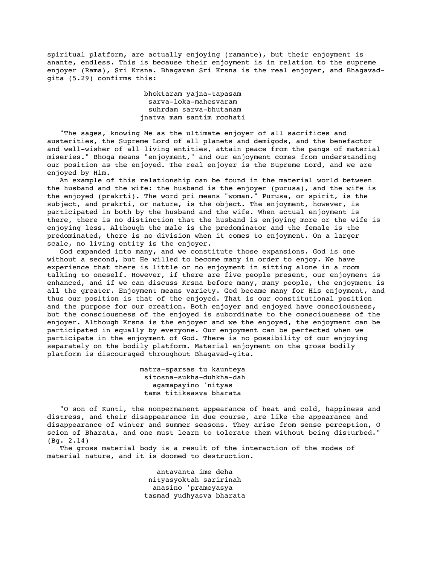spiritual platform, are actually enjoying (ramante), but their enjoyment is anante, endless. This is because their enjoyment is in relation to the supreme enjoyer (Rama), Sri Krsna. Bhagavan Sri Krsna is the real enjoyer, and Bhagavadgita (5.29) confirms this:

> bhoktaram yajna-tapasam sarva-loka-mahesvaram suhrdam sarva-bhutanam jnatva mam santim rcchati

 "The sages, knowing Me as the ultimate enjoyer of all sacrifices and austerities, the Supreme Lord of all planets and demigods, and the benefactor and well-wisher of all living entities, attain peace from the pangs of material miseries." Bhoga means "enjoyment," and our enjoyment comes from understanding our position as the enjoyed. The real enjoyer is the Supreme Lord, and we are enjoyed by Him.

 An example of this relationship can be found in the material world between the husband and the wife: the husband is the enjoyer (purusa), and the wife is the enjoyed (prakrti). The word pri means "woman." Purusa, or spirit, is the subject, and prakrti, or nature, is the object. The enjoyment, however, is participated in both by the husband and the wife. When actual enjoyment is there, there is no distinction that the husband is enjoying more or the wife is enjoying less. Although the male is the predominator and the female is the predominated, there is no division when it comes to enjoyment. On a larger scale, no living entity is the enjoyer.

 God expanded into many, and we constitute those expansions. God is one without a second, but He willed to become many in order to enjoy. We have experience that there is little or no enjoyment in sitting alone in a room talking to oneself. However, if there are five people present, our enjoyment is enhanced, and if we can discuss Krsna before many, many people, the enjoyment is all the greater. Enjoyment means variety. God became many for His enjoyment, and thus our position is that of the enjoyed. That is our constitutional position and the purpose for our creation. Both enjoyer and enjoyed have consciousness, but the consciousness of the enjoyed is subordinate to the consciousness of the enjoyer. Although Krsna is the enjoyer and we the enjoyed, the enjoyment can be participated in equally by everyone. Our enjoyment can be perfected when we participate in the enjoyment of God. There is no possibility of our enjoying separately on the bodily platform. Material enjoyment on the gross bodily platform is discouraged throughout Bhagavad-gita.

> matra-sparsas tu kaunteya sitosna-sukha-duhkha-dah agamapayino 'nityas tams titiksasva bharata

 "O son of Kunti, the nonpermanent appearance of heat and cold, happiness and distress, and their disappearance in due course, are like the appearance and disappearance of winter and summer seasons. They arise from sense perception, O scion of Bharata, and one must learn to tolerate them without being disturbed." (Bg. 2.14)

 The gross material body is a result of the interaction of the modes of material nature, and it is doomed to destruction.

> antavanta ime deha nityasyoktah saririnah anasino 'prameyasya tasmad yudhyasva bharata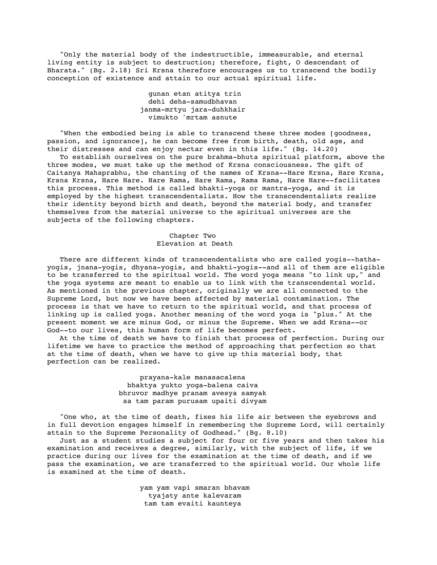"Only the material body of the indestructible, immeasurable, and eternal living entity is subject to destruction; therefore, fight, O descendant of Bharata." (Bg. 2.18) Sri Krsna therefore encourages us to transcend the bodily conception of existence and attain to our actual spiritual life.

> gunan etan atitya trin dehi deha-samudbhavan janma-mrtyu jara-duhkhair vimukto 'mrtam asnute

 "When the embodied being is able to transcend these three modes [goodness, passion, and ignorance], he can become free from birth, death, old age, and their distresses and can enjoy nectar even in this life." (Bg. 14.20)

 To establish ourselves on the pure brahma-bhuta spiritual platform, above the three modes, we must take up the method of Krsna consciousness. The gift of Caitanya Mahaprabhu, the chanting of the names of Krsna--Hare Krsna, Hare Krsna, Krsna Krsna, Hare Hare. Hare Rama, Hare Rama, Rama Rama, Hare Hare--facilitates this process. This method is called bhakti-yoga or mantra-yoga, and it is employed by the highest transcendentalists. How the transcendentalists realize their identity beyond birth and death, beyond the material body, and transfer themselves from the material universe to the spiritual universes are the subjects of the following chapters.

# Chapter Two Elevation at Death

 There are different kinds of transcendentalists who are called yogis--hathayogis, jnana-yogis, dhyana-yogis, and bhakti-yogis--and all of them are eligible to be transferred to the spiritual world. The word yoga means "to link up," and the yoga systems are meant to enable us to link with the transcendental world. As mentioned in the previous chapter, originally we are all connected to the Supreme Lord, but now we have been affected by material contamination. The process is that we have to return to the spiritual world, and that process of linking up is called yoga. Another meaning of the word yoga is "plus." At the present moment we are minus God, or minus the Supreme. When we add Krsna--or God--to our lives, this human form of life becomes perfect.

 At the time of death we have to finish that process of perfection. During our lifetime we have to practice the method of approaching that perfection so that at the time of death, when we have to give up this material body, that perfection can be realized.

> prayana-kale manasacalena bhaktya yukto yoga-balena caiva bhruvor madhye pranam avesya samyak sa tam param purusam upaiti divyam

 "One who, at the time of death, fixes his life air between the eyebrows and in full devotion engages himself in remembering the Supreme Lord, will certainly attain to the Supreme Personality of Godhead." (Bg. 8.10)

 Just as a student studies a subject for four or five years and then takes his examination and receives a degree, similarly, with the subject of life, if we practice during our lives for the examination at the time of death, and if we pass the examination, we are transferred to the spiritual world. Our whole life is examined at the time of death.

> yam yam vapi smaran bhavam tyajaty ante kalevaram tam tam evaiti kaunteya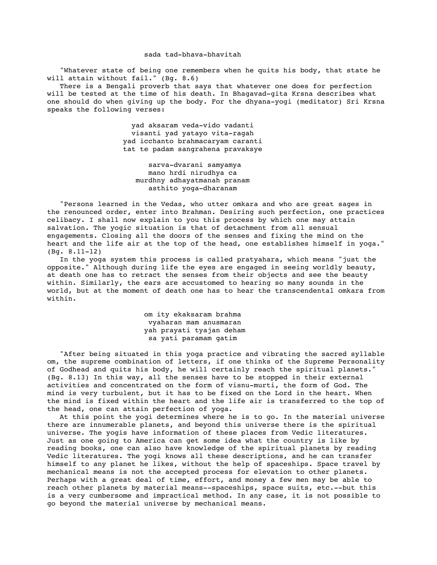#### sada tad-bhava-bhavitah

 "Whatever state of being one remembers when he quits his body, that state he will attain without fail." (Bg. 8.6)

 There is a Bengali proverb that says that whatever one does for perfection will be tested at the time of his death. In Bhagavad-gita Krsna describes what one should do when giving up the body. For the dhyana-yogi (meditator) Sri Krsna speaks the following verses:

> yad aksaram veda-vido vadanti visanti yad yatayo vita-ragah yad icchanto brahmacaryam caranti tat te padam sangrahena pravaksye

 sarva-dvarani samyamya mano hrdi nirudhya ca murdhny adhayatmanah pranam asthito yoga-dharanam

 "Persons learned in the Vedas, who utter omkara and who are great sages in the renounced order, enter into Brahman. Desiring such perfection, one practices celibacy. I shall now explain to you this process by which one may attain salvation. The yogic situation is that of detachment from all sensual engagements. Closing all the doors of the senses and fixing the mind on the heart and the life air at the top of the head, one establishes himself in yoga." (Bg. 8.11-12)

 In the yoga system this process is called pratyahara, which means "just the opposite." Although during life the eyes are engaged in seeing worldly beauty, at death one has to retract the senses from their objects and see the beauty within. Similarly, the ears are accustomed to hearing so many sounds in the world, but at the moment of death one has to hear the transcendental omkara from within.

> om ity ekaksaram brahma vyaharan mam anusmaran yah prayati tyajan deham sa yati paramam gatim

 "After being situated in this yoga practice and vibrating the sacred syllable om, the supreme combination of letters, if one thinks of the Supreme Personality of Godhead and quits his body, he will certainly reach the spiritual planets." (Bg. 8.13) In this way, all the senses have to be stopped in their external activities and concentrated on the form of visnu-murti, the form of God. The mind is very turbulent, but it has to be fixed on the Lord in the heart. When the mind is fixed within the heart and the life air is transferred to the top of the head, one can attain perfection of yoga.

 At this point the yogi determines where he is to go. In the material universe there are innumerable planets, and beyond this universe there is the spiritual universe. The yogis have information of these places from Vedic literatures. Just as one going to America can get some idea what the country is like by reading books, one can also have knowledge of the spiritual planets by reading Vedic literatures. The yogi knows all these descriptions, and he can transfer himself to any planet he likes, without the help of spaceships. Space travel by mechanical means is not the accepted process for elevation to other planets. Perhaps with a great deal of time, effort, and money a few men may be able to reach other planets by material means--spaceships, space suits, etc.--but this is a very cumbersome and impractical method. In any case, it is not possible to go beyond the material universe by mechanical means.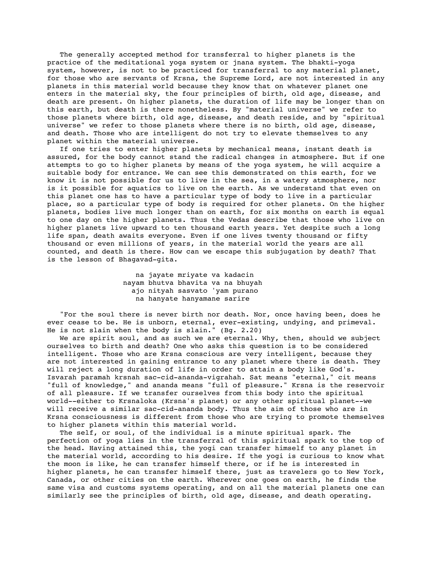The generally accepted method for transferral to higher planets is the practice of the meditational yoga system or jnana system. The bhakti-yoga system, however, is not to be practiced for transferral to any material planet, for those who are servants of Krsna, the Supreme Lord, are not interested in any planets in this material world because they know that on whatever planet one enters in the material sky, the four principles of birth, old age, disease, and death are present. On higher planets, the duration of life may be longer than on this earth, but death is there nonetheless. By "material universe" we refer to those planets where birth, old age, disease, and death reside, and by "spiritual universe" we refer to those planets where there is no birth, old age, disease, and death. Those who are intelligent do not try to elevate themselves to any planet within the material universe.

 If one tries to enter higher planets by mechanical means, instant death is assured, for the body cannot stand the radical changes in atmosphere. But if one attempts to go to higher planets by means of the yoga system, he will acquire a suitable body for entrance. We can see this demonstrated on this earth, for we know it is not possible for us to live in the sea, in a watery atmosphere, nor is it possible for aquatics to live on the earth. As we understand that even on this planet one has to have a particular type of body to live in a particular place, so a particular type of body is required for other planets. On the higher planets, bodies live much longer than on earth, for six months on earth is equal to one day on the higher planets. Thus the Vedas describe that those who live on higher planets live upward to ten thousand earth years. Yet despite such a long life span, death awaits everyone. Even if one lives twenty thousand or fifty thousand or even millions of years, in the material world the years are all counted, and death is there. How can we escape this subjugation by death? That is the lesson of Bhagavad-gita.

> na jayate mriyate va kadacin nayam bhutva bhavita va na bhuyah ajo nityah sasvato 'yam purano na hanyate hanyamane sarire

 "For the soul there is never birth nor death. Nor, once having been, does he ever cease to be. He is unborn, eternal, ever-existing, undying, and primeval. He is not slain when the body is slain." (Bg. 2.20)

 We are spirit soul, and as such we are eternal. Why, then, should we subject ourselves to birth and death? One who asks this question is to be considered intelligent. Those who are Krsna conscious are very intelligent, because they are not interested in gaining entrance to any planet where there is death. They will reject a long duration of life in order to attain a body like God's. Isvarah paramah krsnah sac-cid-ananda-vigrahah. Sat means "eternal," cit means "full of knowledge," and ananda means "full of pleasure." Krsna is the reservoir of all pleasure. If we transfer ourselves from this body into the spiritual world--either to Krsnaloka (Krsna's planet) or any other spiritual planet--we will receive a similar sac-cid-ananda body. Thus the aim of those who are in Krsna consciousness is different from those who are trying to promote themselves to higher planets within this material world.

The self, or soul, of the individual is a minute spiritual spark. The perfection of yoga lies in the transferral of this spiritual spark to the top of the head. Having attained this, the yogi can transfer himself to any planet in the material world, according to his desire. If the yogi is curious to know what the moon is like, he can transfer himself there, or if he is interested in higher planets, he can transfer himself there, just as travelers go to New York, Canada, or other cities on the earth. Wherever one goes on earth, he finds the same visa and customs systems operating, and on all the material planets one can similarly see the principles of birth, old age, disease, and death operating.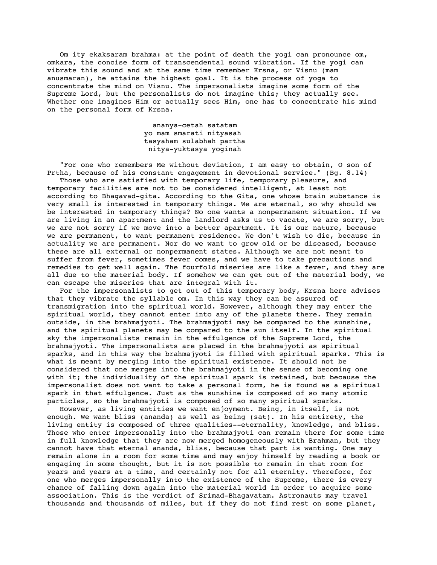Om ity ekaksaram brahma: at the point of death the yogi can pronounce om, omkara, the concise form of transcendental sound vibration. If the yogi can vibrate this sound and at the same time remember Krsna, or Visnu (mam anusmaran), he attains the highest goal. It is the process of yoga to concentrate the mind on Visnu. The impersonalists imagine some form of the Supreme Lord, but the personalists do not imagine this; they actually see. Whether one imagines Him or actually sees Him, one has to concentrate his mind on the personal form of Krsna.

> ananya-cetah satatam yo mam smarati nityasah tasyaham sulabhah partha nitya-yuktasya yoginah

 "For one who remembers Me without deviation, I am easy to obtain, O son of Prtha, because of his constant engagement in devotional service." (Bg. 8.14)

Those who are satisfied with temporary life, temporary pleasure, and temporary facilities are not to be considered intelligent, at least not according to Bhagavad-gita. According to the Gita, one whose brain substance is very small is interested in temporary things. We are eternal, so why should we be interested in temporary things? No one wants a nonpermanent situation. If we are living in an apartment and the landlord asks us to vacate, we are sorry, but we are not sorry if we move into a better apartment. It is our nature, because we are permanent, to want permanent residence. We don't wish to die, because in actuality we are permanent. Nor do we want to grow old or be diseased, because these are all external or nonpermanent states. Although we are not meant to suffer from fever, sometimes fever comes, and we have to take precautions and remedies to get well again. The fourfold miseries are like a fever, and they are all due to the material body. If somehow we can get out of the material body, we can escape the miseries that are integral with it.

 For the impersonalists to get out of this temporary body, Krsna here advises that they vibrate the syllable om. In this way they can be assured of transmigration into the spiritual world. However, although they may enter the spiritual world, they cannot enter into any of the planets there. They remain outside, in the brahmajyoti. The brahmajyoti may be compared to the sunshine, and the spiritual planets may be compared to the sun itself. In the spiritual sky the impersonalists remain in the effulgence of the Supreme Lord, the brahmajyoti. The impersonalists are placed in the brahmajyoti as spiritual sparks, and in this way the brahmajyoti is filled with spiritual sparks. This is what is meant by merging into the spiritual existence. It should not be considered that one merges into the brahmajyoti in the sense of becoming one with it; the individuality of the spiritual spark is retained, but because the impersonalist does not want to take a personal form, he is found as a spiritual spark in that effulgence. Just as the sunshine is composed of so many atomic particles, so the brahmajyoti is composed of so many spiritual sparks.

 However, as living entities we want enjoyment. Being, in itself, is not enough. We want bliss (ananda) as well as being (sat). In his entirety, the living entity is composed of three qualities--eternality, knowledge, and bliss. Those who enter impersonally into the brahmajyoti can remain there for some time in full knowledge that they are now merged homogeneously with Brahman, but they cannot have that eternal ananda, bliss, because that part is wanting. One may remain alone in a room for some time and may enjoy himself by reading a book or engaging in some thought, but it is not possible to remain in that room for years and years at a time, and certainly not for all eternity. Therefore, for one who merges impersonally into the existence of the Supreme, there is every chance of falling down again into the material world in order to acquire some association. This is the verdict of Srimad-Bhagavatam. Astronauts may travel thousands and thousands of miles, but if they do not find rest on some planet,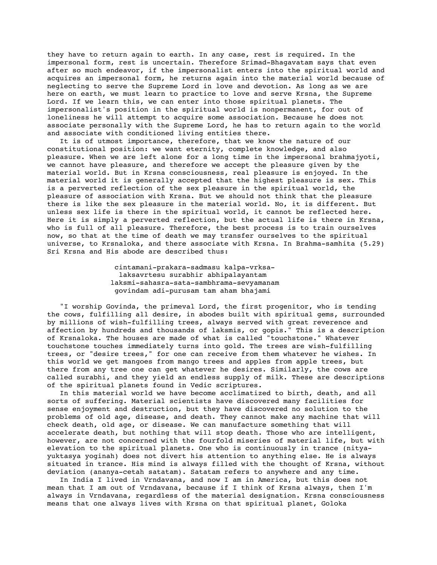they have to return again to earth. In any case, rest is required. In the impersonal form, rest is uncertain. Therefore Srimad-Bhagavatam says that even after so much endeavor, if the impersonalist enters into the spiritual world and acquires an impersonal form, he returns again into the material world because of neglecting to serve the Supreme Lord in love and devotion. As long as we are here on earth, we must learn to practice to love and serve Krsna, the Supreme Lord. If we learn this, we can enter into those spiritual planets. The impersonalist's position in the spiritual world is nonpermanent, for out of loneliness he will attempt to acquire some association. Because he does not associate personally with the Supreme Lord, he has to return again to the world and associate with conditioned living entities there.

 It is of utmost importance, therefore, that we know the nature of our constitutional position: we want eternity, complete knowledge, and also pleasure. When we are left alone for a long time in the impersonal brahmajyoti, we cannot have pleasure, and therefore we accept the pleasure given by the material world. But in Krsna consciousness, real pleasure is enjoyed. In the material world it is generally accepted that the highest pleasure is sex. This is a perverted reflection of the sex pleasure in the spiritual world, the pleasure of association with Krsna. But we should not think that the pleasure there is like the sex pleasure in the material world. No, it is different. But unless sex life is there in the spiritual world, it cannot be reflected here. Here it is simply a perverted reflection, but the actual life is there in Krsna, who is full of all pleasure. Therefore, the best process is to train ourselves now, so that at the time of death we may transfer ourselves to the spiritual universe, to Krsnaloka, and there associate with Krsna. In Brahma-samhita (5.29) Sri Krsna and His abode are described thus:

> cintamani-prakara-sadmasu kalpa-vrksa laksavrtesu surabhir abhipalayantam laksmi-sahasra-sata-sambhrama-sevyamanam govindam adi-purusam tam aham bhajami

 "I worship Govinda, the primeval Lord, the first progenitor, who is tending the cows, fulfilling all desire, in abodes built with spiritual gems, surrounded by millions of wish-fulfilling trees, always served with great reverence and affection by hundreds and thousands of laksmis, or gopis." This is a description of Krsnaloka. The houses are made of what is called "touchstone." Whatever touchstone touches immediately turns into gold. The trees are wish-fulfilling trees, or "desire trees," for one can receive from them whatever he wishes. In this world we get mangoes from mango trees and apples from apple trees, but there from any tree one can get whatever he desires. Similarly, the cows are called surabhi, and they yield an endless supply of milk. These are descriptions of the spiritual planets found in Vedic scriptures.

 In this material world we have become acclimatized to birth, death, and all sorts of suffering. Material scientists have discovered many facilities for sense enjoyment and destruction, but they have discovered no solution to the problems of old age, disease, and death. They cannot make any machine that will check death, old age, or disease. We can manufacture something that will accelerate death, but nothing that will stop death. Those who are intelligent, however, are not concerned with the fourfold miseries of material life, but with elevation to the spiritual planets. One who is continuously in trance (nityayuktasya yoginah) does not divert his attention to anything else. He is always situated in trance. His mind is always filled with the thought of Krsna, without deviation (ananya-cetah satatam). Satatam refers to anywhere and any time.

 In India I lived in Vrndavana, and now I am in America, but this does not mean that I am out of Vrndavana, because if I think of Krsna always, then I'm always in Vrndavana, regardless of the material designation. Krsna consciousness means that one always lives with Krsna on that spiritual planet, Goloka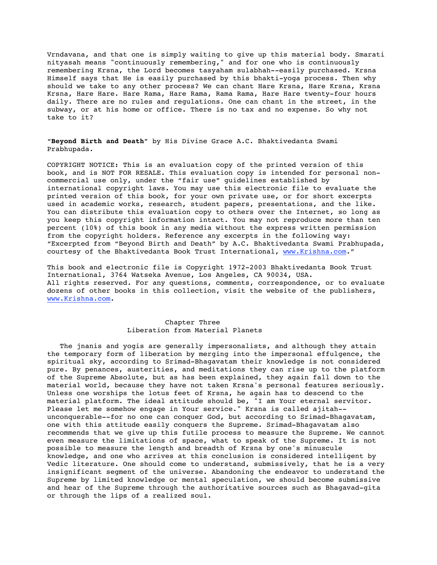Vrndavana, and that one is simply waiting to give up this material body. Smarati nityasah means "continuously remembering," and for one who is continuously remembering Krsna, the Lord becomes tasyaham sulabhah--easily purchased. Krsna Himself says that He is easily purchased by this bhakti-yoga process. Then why should we take to any other process? We can chant Hare Krsna, Hare Krsna, Krsna Krsna, Hare Hare. Hare Rama, Hare Rama, Rama Rama, Hare Hare twenty-four hours daily. There are no rules and regulations. One can chant in the street, in the subway, or at his home or office. There is no tax and no expense. So why not take to it?

"**Beyond Birth and Death**" by His Divine Grace A.C. Bhaktivedanta Swami Prabhupada.

COPYRIGHT NOTICE: This is an evaluation copy of the printed version of this book, and is NOT FOR RESALE. This evaluation copy is intended for personal noncommercial use only, under the "fair use" guidelines established by international copyright laws. You may use this electronic file to evaluate the printed version of this book, for your own private use, or for short excerpts used in academic works, research, student papers, presentations, and the like. You can distribute this evaluation copy to others over the Internet, so long as you keep this copyright information intact. You may not reproduce more than ten percent (10%) of this book in any media without the express written permission from the copyright holders. Reference any excerpts in the following way: "Excerpted from "Beyond Birth and Death" by A.C. Bhaktivedanta Swami Prabhupada, courtesy of the Bhaktivedanta Book Trust International, www.Krishna.com."

This book and electronic file is Copyright 1972-2003 Bhaktivedanta Book Trust International, 3764 Watseka Avenue, Los Angeles, CA 90034, USA. All rights reserved. For any questions, comments, correspondence, or to evaluate dozens of other books in this collection, visit the website of the publishers, www.Krishna.com.

# Chapter Three Liberation from Material Planets

 The jnanis and yogis are generally impersonalists, and although they attain the temporary form of liberation by merging into the impersonal effulgence, the spiritual sky, according to Srimad-Bhagavatam their knowledge is not considered pure. By penances, austerities, and meditations they can rise up to the platform of the Supreme Absolute, but as has been explained, they again fall down to the material world, because they have not taken Krsna's personal features seriously. Unless one worships the lotus feet of Krsna, he again has to descend to the material platform. The ideal attitude should be, "I am Your eternal servitor. Please let me somehow engage in Your service." Krsna is called ajitah- unconquerable--for no one can conquer God, but according to Srimad-Bhagavatam, one with this attitude easily conquers the Supreme. Srimad-Bhagavatam also recommends that we give up this futile process to measure the Supreme. We cannot even measure the limitations of space, what to speak of the Supreme. It is not possible to measure the length and breadth of Krsna by one's minuscule knowledge, and one who arrives at this conclusion is considered intelligent by Vedic literature. One should come to understand, submissively, that he is a very insignificant segment of the universe. Abandoning the endeavor to understand the Supreme by limited knowledge or mental speculation, we should become submissive and hear of the Supreme through the authoritative sources such as Bhagavad-gita or through the lips of a realized soul.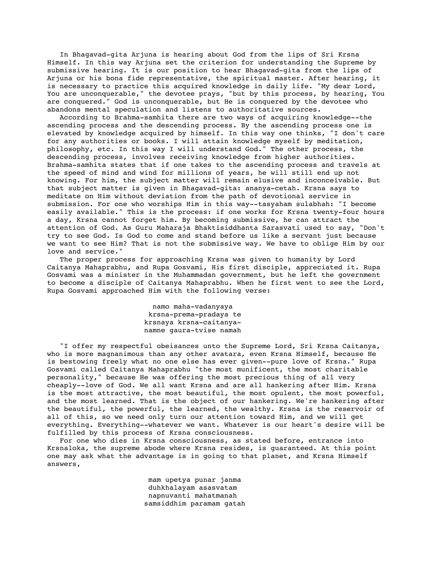In Bhagavad-gita Arjuna is hearing about God from the lips of Sri Krsna Himself. In this way Arjuna set the criterion for understanding the Supreme by submissive hearing. It is our position to hear Bhagavad-gita from the lips of Arjuna or his bona fide representative, the spiritual master. After hearing, it is necessary to practice this acquired knowledge in daily life. "My dear Lord, You are unconquerable," the devotee prays, "but by this process, by hearing, You are conquered." God is unconquerable, but He is conquered by the devotee who abandons mental speculation and listens to authoritative sources.

 According to Brahma-samhita there are two ways of acquiring knowledge--the ascending process and the descending process. By the ascending process one is elevated by knowledge acquired by himself. In this way one thinks, "I don't care for any authorities or books. I will attain knowledge myself by meditation, philosophy, etc. In this way I will understand God." The other process, the descending process, involves receiving knowledge from higher authorities. Brahma-samhita states that if one takes to the ascending process and travels at the speed of mind and wind for millions of years, he will still end up not knowing. For him, the subject matter will remain elusive and inconceivable. But that subject matter is given in Bhagavad-gita: ananya-cetah. Krsna says to meditate on Him without deviation from the path of devotional service in submission. For one who worships Him in this way--tasyaham sulabhah: "I become easily available." This is the process: if one works for Krsna twenty-four hours a day, Krsna cannot forget him. By becoming submissive, he can attract the attention of God. As Guru Maharaja Bhaktisiddhanta Sarasvati used to say, "Don't try to see God. Is God to come and stand before us like a servant just because we want to see Him? That is not the submissive way. We have to oblige Him by our love and service."

 The proper process for approaching Krsna was given to humanity by Lord Caitanya Mahaprabhu, and Rupa Gosvami, His first disciple, appreciated it. Rupa Gosvami was a minister in the Muhammadan government, but he left the government to become a disciple of Caitanya Mahaprabhu. When he first went to see the Lord, Rupa Gosvami approached Him with the following verse:

> namo maha-vadanyaya krsna-prema-pradaya te krsnaya krsna-caitanya namne gaura-tvise namah

 "I offer my respectful obeisances unto the Supreme Lord, Sri Krsna Caitanya, who is more magnanimous than any other avatara, even Krsna Himself, because He is bestowing freely what no one else has ever given--pure love of Krsna." Rupa Gosvami called Caitanya Mahaprabhu "the most munificent, the most charitable personality," because He was offering the most precious thing of all very cheaply--love of God. We all want Krsna and are all hankering after Him. Krsna is the most attractive, the most beautiful, the most opulent, the most powerful, and the most learned. That is the object of our hankering. We're hankering after the beautiful, the powerful, the learned, the wealthy. Krsna is the reservoir of all of this, so we need only turn our attention toward Him, and we will get everything. Everything--whatever we want. Whatever is our heart's desire will be fulfilled by this process of Krsna consciousness.

 For one who dies in Krsna consciousness, as stated before, entrance into Krsnaloka, the supreme abode where Krsna resides, is guaranteed. At this point one may ask what the advantage is in going to that planet, and Krsna Himself answers,

> mam upetya punar janma duhkhalayam asasvatam napnuvanti mahatmanah samsiddhim paramam gatah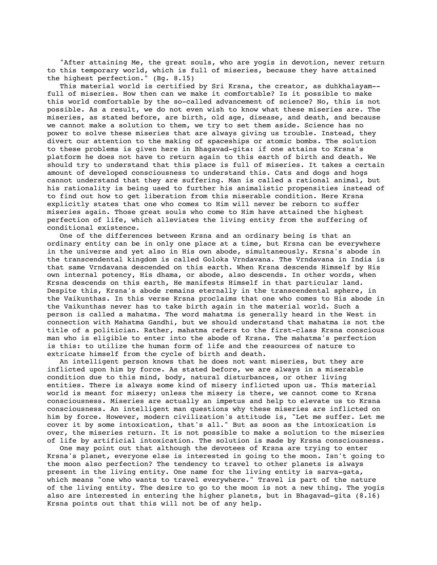"After attaining Me, the great souls, who are yogis in devotion, never return to this temporary world, which is full of miseries, because they have attained the highest perfection." (Bg. 8.15)

 This material world is certified by Sri Krsna, the creator, as duhkhalayam- full of miseries. How then can we make it comfortable? Is it possible to make this world comfortable by the so-called advancement of science? No, this is not possible. As a result, we do not even wish to know what these miseries are. The miseries, as stated before, are birth, old age, disease, and death, and because we cannot make a solution to them, we try to set them aside. Science has no power to solve these miseries that are always giving us trouble. Instead, they divert our attention to the making of spaceships or atomic bombs. The solution to these problems is given here in Bhagavad-gita: if one attains to Krsna's platform he does not have to return again to this earth of birth and death. We should try to understand that this place is full of miseries. It takes a certain amount of developed consciousness to understand this. Cats and dogs and hogs cannot understand that they are suffering. Man is called a rational animal, but his rationality is being used to further his animalistic propensities instead of to find out how to get liberation from this miserable condition. Here Krsna explicitly states that one who comes to Him will never be reborn to suffer miseries again. Those great souls who come to Him have attained the highest perfection of life, which alleviates the living entity from the suffering of conditional existence.

 One of the differences between Krsna and an ordinary being is that an ordinary entity can be in only one place at a time, but Krsna can be everywhere in the universe and yet also in His own abode, simultaneously. Krsna's abode in the transcendental kingdom is called Goloka Vrndavana. The Vrndavana in India is that same Vrndavana descended on this earth. When Krsna descends Himself by His own internal potency, His dhama, or abode, also descends. In other words, when Krsna descends on this earth, He manifests Himself in that particular land. Despite this, Krsna's abode remains eternally in the transcendental sphere, in the Vaikunthas. In this verse Krsna proclaims that one who comes to His abode in the Vaikunthas never has to take birth again in the material world. Such a person is called a mahatma. The word mahatma is generally heard in the West in connection with Mahatma Gandhi, but we should understand that mahatma is not the title of a politician. Rather, mahatma refers to the first-class Krsna conscious man who is eligible to enter into the abode of Krsna. The mahatma's perfection is this: to utilize the human form of life and the resources of nature to extricate himself from the cycle of birth and death.

 An intelligent person knows that he does not want miseries, but they are inflicted upon him by force. As stated before, we are always in a miserable condition due to this mind, body, natural disturbances, or other living entities. There is always some kind of misery inflicted upon us. This material world is meant for misery; unless the misery is there, we cannot come to Krsna consciousness. Miseries are actually an impetus and help to elevate us to Krsna consciousness. An intelligent man questions why these miseries are inflicted on him by force. However, modern civilization's attitude is, "Let me suffer. Let me cover it by some intoxication, that's all." But as soon as the intoxication is over, the miseries return. It is not possible to make a solution to the miseries of life by artificial intoxication. The solution is made by Krsna consciousness.

 One may point out that although the devotees of Krsna are trying to enter Krsna's planet, everyone else is interested in going to the moon. Isn't going to the moon also perfection? The tendency to travel to other planets is always present in the living entity. One name for the living entity is sarva-gata, which means "one who wants to travel everywhere." Travel is part of the nature of the living entity. The desire to go to the moon is not a new thing. The yogis also are interested in entering the higher planets, but in Bhagavad-gita (8.16) Krsna points out that this will not be of any help.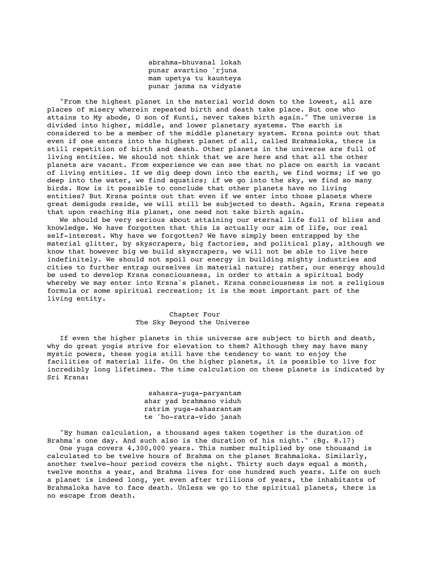abrahma-bhuvanal lokah punar avartino 'rjuna mam upetya tu kaunteya punar janma na vidyate

 "From the highest planet in the material world down to the lowest, all are places of misery wherein repeated birth and death take place. But one who attains to My abode, O son of Kunti, never takes birth again." The universe is divided into higher, middle, and lower planetary systems. The earth is considered to be a member of the middle planetary system. Krsna points out that even if one enters into the highest planet of all, called Brahmaloka, there is still repetition of birth and death. Other planets in the universe are full of living entities. We should not think that we are here and that all the other planets are vacant. From experience we can see that no place on earth is vacant of living entities. If we dig deep down into the earth, we find worms; if we go deep into the water, we find aquatics; if we go into the sky, we find so many birds. How is it possible to conclude that other planets have no living entities? But Krsna points out that even if we enter into those planets where great demigods reside, we will still be subjected to death. Again, Krsna repeats that upon reaching His planet, one need not take birth again.

 We should be very serious about attaining our eternal life full of bliss and knowledge. We have forgotten that this is actually our aim of life, our real self-interest. Why have we forgotten? We have simply been entrapped by the material glitter, by skyscrapers, big factories, and political play, although we know that however big we build skyscrapers, we will not be able to live here indefinitely. We should not spoil our energy in building mighty industries and cities to further entrap ourselves in material nature; rather, our energy should be used to develop Krsna consciousness, in order to attain a spiritual body whereby we may enter into Krsna's planet. Krsna consciousness is not a religious formula or some spiritual recreation; it is the most important part of the living entity.

### Chapter Four The Sky Beyond the Universe

 If even the higher planets in this universe are subject to birth and death, why do great yogis strive for elevation to them? Although they may have many mystic powers, these yogis still have the tendency to want to enjoy the facilities of material life. On the higher planets, it is possible to live for incredibly long lifetimes. The time calculation on these planets is indicated by Sri Krsna:

> sahasra-yuga-paryantam ahar yad brahmano viduh ratrim yuga-sahasrantam te 'ho-ratra-vido janah

 "By human calculation, a thousand ages taken together is the duration of Brahma's one day. And such also is the duration of his night." (Bg. 8.17) One yuga covers 4,300,000 years. This number multiplied by one thousand is calculated to be twelve hours of Brahma on the planet Brahmaloka. Similarly, another twelve-hour period covers the night. Thirty such days equal a month, twelve months a year, and Brahma lives for one hundred such years. Life on such a planet is indeed long, yet even after trillions of years, the inhabitants of Brahmaloka have to face death. Unless we go to the spiritual planets, there is no escape from death.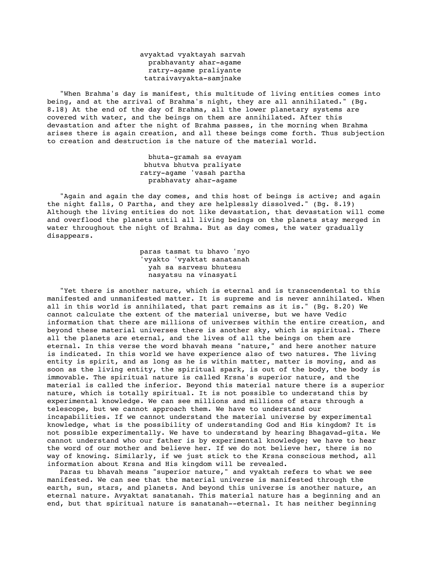# avyaktad vyaktayah sarvah prabhavanty ahar-agame ratry-agame praliyante tatraivavyakta-samjnake

 "When Brahma's day is manifest, this multitude of living entities comes into being, and at the arrival of Brahma's night, they are all annihilated." (Bg. 8.18) At the end of the day of Brahma, all the lower planetary systems are covered with water, and the beings on them are annihilated. After this devastation and after the night of Brahma passes, in the morning when Brahma arises there is again creation, and all these beings come forth. Thus subjection to creation and destruction is the nature of the material world.

> bhuta-gramah sa evayam bhutva bhutva praliyate ratry-agame 'vasah partha prabhavaty ahar-agame

 "Again and again the day comes, and this host of beings is active; and again the night falls, O Partha, and they are helplessly dissolved." (Bg. 8.19) Although the living entities do not like devastation, that devastation will come and overflood the planets until all living beings on the planets stay merged in water throughout the night of Brahma. But as day comes, the water gradually disappears.

> paras tasmat tu bhavo 'nyo 'vyakto 'vyaktat sanatanah yah sa sarvesu bhutesu nasyatsu na vinasyati

 "Yet there is another nature, which is eternal and is transcendental to this manifested and unmanifested matter. It is supreme and is never annihilated. When all in this world is annihilated, that part remains as it is." (Bg. 8.20) We cannot calculate the extent of the material universe, but we have Vedic information that there are millions of universes within the entire creation, and beyond these material universes there is another sky, which is spiritual. There all the planets are eternal, and the lives of all the beings on them are eternal. In this verse the word bhavah means "nature," and here another nature is indicated. In this world we have experience also of two natures. The living entity is spirit, and as long as he is within matter, matter is moving, and as soon as the living entity, the spiritual spark, is out of the body, the body is immovable. The spiritual nature is called Krsna's superior nature, and the material is called the inferior. Beyond this material nature there is a superior nature, which is totally spiritual. It is not possible to understand this by experimental knowledge. We can see millions and millions of stars through a telescope, but we cannot approach them. We have to understand our incapabilities. If we cannot understand the material universe by experimental knowledge, what is the possibility of understanding God and His kingdom? It is not possible experimentally. We have to understand by hearing Bhagavad-gita. We cannot understand who our father is by experimental knowledge; we have to hear the word of our mother and believe her. If we do not believe her, there is no way of knowing. Similarly, if we just stick to the Krsna conscious method, all information about Krsna and His kingdom will be revealed.

 Paras tu bhavah means "superior nature," and vyaktah refers to what we see manifested. We can see that the material universe is manifested through the earth, sun, stars, and planets. And beyond this universe is another nature, an eternal nature. Avyaktat sanatanah. This material nature has a beginning and an end, but that spiritual nature is sanatanah--eternal. It has neither beginning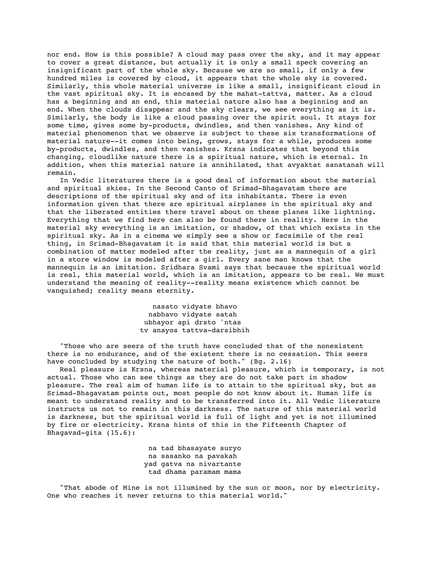nor end. How is this possible? A cloud may pass over the sky, and it may appear to cover a great distance, but actually it is only a small speck covering an insignificant part of the whole sky. Because we are so small, if only a few hundred miles is covered by cloud, it appears that the whole sky is covered. Similarly, this whole material universe is like a small, insignificant cloud in the vast spiritual sky. It is encased by the mahat-tattva, matter. As a cloud has a beginning and an end, this material nature also has a beginning and an end. When the clouds disappear and the sky clears, we see everything as it is. Similarly, the body is like a cloud passing over the spirit soul. It stays for some time, gives some by-products, dwindles, and then vanishes. Any kind of material phenomenon that we observe is subject to these six transformations of material nature--it comes into being, grows, stays for a while, produces some by-products, dwindles, and then vanishes. Krsna indicates that beyond this changing, cloudlike nature there is a spiritual nature, which is eternal. In addition, when this material nature is annihilated, that avyaktat sanatanah will remain.

 In Vedic literatures there is a good deal of information about the material and spiritual skies. In the Second Canto of Srimad-Bhagavatam there are descriptions of the spiritual sky and of its inhabitants. There is even information given that there are spiritual airplanes in the spiritual sky and that the liberated entities there travel about on these planes like lightning. Everything that we find here can also be found there in reality. Here in the material sky everything is an imitation, or shadow, of that which exists in the spiritual sky. As in a cinema we simply see a show or facsimile of the real thing, in Srimad-Bhagavatam it is said that this material world is but a combination of matter modeled after the reality, just as a mannequin of a girl in a store window is modeled after a girl. Every sane man knows that the mannequin is an imitation. Sridhara Svami says that because the spiritual world is real, this material world, which is an imitation, appears to be real. We must understand the meaning of reality--reality means existence which cannot be vanquished; reality means eternity.

> nasato vidyate bhavo nabhavo vidyate satah ubhayor api drsto 'ntas tv anayos tattva-darsibhih

 "Those who are seers of the truth have concluded that of the nonexistent there is no endurance, and of the existent there is no cessation. This seers have concluded by studying the nature of both." (Bg. 2.16)

 Real pleasure is Krsna, whereas material pleasure, which is temporary, is not actual. Those who can see things as they are do not take part in shadow pleasure. The real aim of human life is to attain to the spiritual sky, but as Srimad-Bhagavatam points out, most people do not know about it. Human life is meant to understand reality and to be transferred into it. All Vedic literature instructs us not to remain in this darkness. The nature of this material world is darkness, but the spiritual world is full of light and yet is not illumined by fire or electricity. Krsna hints of this in the Fifteenth Chapter of Bhagavad-gita (15.6):

> na tad bhasayate suryo na sasanko na pavakah yad gatva na nivartante tad dhama paramam mama

 "That abode of Mine is not illumined by the sun or moon, nor by electricity. One who reaches it never returns to this material world."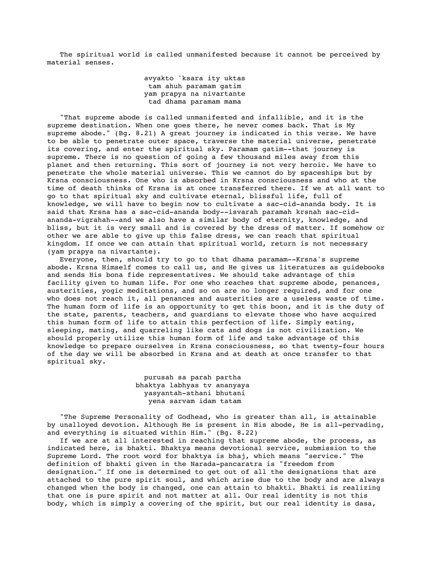The spiritual world is called unmanifested because it cannot be perceived by material senses.

> avyakto 'ksara ity uktas tam ahuh paramam gatim yam prapya na nivartante tad dhama paramam mama

 "That supreme abode is called unmanifested and infallible, and it is the supreme destination. When one goes there, he never comes back. That is My supreme abode." (Bg. 8.21) A great journey is indicated in this verse. We have to be able to penetrate outer space, traverse the material universe, penetrate its covering, and enter the spiritual sky. Paramam gatim--that journey is supreme. There is no question of going a few thousand miles away from this planet and then returning. This sort of journey is not very heroic. We have to penetrate the whole material universe. This we cannot do by spaceships but by Krsna consciousness. One who is absorbed in Krsna consciousness and who at the time of death thinks of Krsna is at once transferred there. If we at all want to go to that spiritual sky and cultivate eternal, blissful life, full of knowledge, we will have to begin now to cultivate a sac-cid-ananda body. It is said that Krsna has a sac-cid-ananda body--isvarah paramah krsnah sac-cidananda-vigrahah--and we also have a similar body of eternity, knowledge, and bliss, but it is very small and is covered by the dress of matter. If somehow or other we are able to give up this false dress, we can reach that spiritual kingdom. If once we can attain that spiritual world, return is not necessary (yam prapya na nivartante).

 Everyone, then, should try to go to that dhama paramam--Krsna's supreme abode. Krsna Himself comes to call us, and He gives us literatures as guidebooks and sends His bona fide representatives. We should take advantage of this facility given to human life. For one who reaches that supreme abode, penances, austerities, yogic meditations, and so on are no longer required, and for one who does not reach it, all penances and austerities are a useless waste of time. The human form of life is an opportunity to get this boon, and it is the duty of the state, parents, teachers, and guardians to elevate those who have acquired this human form of life to attain this perfection of life. Simply eating, sleeping, mating, and quarreling like cats and dogs is not civilization. We should properly utilize this human form of life and take advantage of this knowledge to prepare ourselves in Krsna consciousness, so that twenty-four hours of the day we will be absorbed in Krsna and at death at once transfer to that spiritual sky.

> purusah sa parah partha bhaktya labhyas tv ananyaya yasyantah-sthani bhutani yena sarvam idam tatam

 "The Supreme Personality of Godhead, who is greater than all, is attainable by unalloyed devotion. Although He is present in His abode, He is all-pervading, and everything is situated within Him." (Bg. 8.22)

 If we are at all interested in reaching that supreme abode, the process, as indicated here, is bhakti. Bhaktya means devotional service, submission to the Supreme Lord. The root word for bhaktya is bhaj, which means "service." The definition of bhakti given in the Narada-pancaratra is "freedom from designation." If one is determined to get out of all the designations that are attached to the pure spirit soul, and which arise due to the body and are always changed when the body is changed, one can attain to bhakti. Bhakti is realizing that one is pure spirit and not matter at all. Our real identity is not this body, which is simply a covering of the spirit, but our real identity is dasa,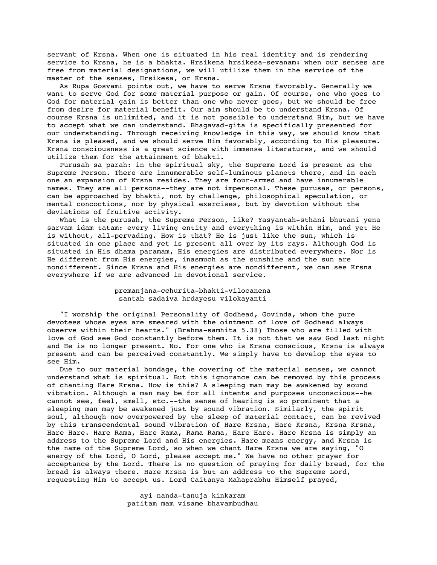servant of Krsna. When one is situated in his real identity and is rendering service to Krsna, he is a bhakta. Hrsikena hrsikesa-sevanam: when our senses are free from material designations, we will utilize them in the service of the master of the senses, Hrsikesa, or Krsna.

 As Rupa Gosvami points out, we have to serve Krsna favorably. Generally we want to serve God for some material purpose or gain. Of course, one who goes to God for material gain is better than one who never goes, but we should be free from desire for material benefit. Our aim should be to understand Krsna. Of course Krsna is unlimited, and it is not possible to understand Him, but we have to accept what we can understand. Bhagavad-gita is specifically presented for our understanding. Through receiving knowledge in this way, we should know that Krsna is pleased, and we should serve Him favorably, according to His pleasure. Krsna consciousness is a great science with immense literatures, and we should utilize them for the attainment of bhakti.

 Purusah sa parah: in the spiritual sky, the Supreme Lord is present as the Supreme Person. There are innumerable self-luminous planets there, and in each one an expansion of Krsna resides. They are four-armed and have innumerable names. They are all persons--they are not impersonal. These purusas, or persons, can be approached by bhakti, not by challenge, philosophical speculation, or mental concoctions, nor by physical exercises, but by devotion without the deviations of fruitive activity.

 What is the purusah, the Supreme Person, like? Yasyantah-sthani bhutani yena sarvam idam tatam: every living entity and everything is within Him, and yet He is without, all-pervading. How is that? He is just like the sun, which is situated in one place and yet is present all over by its rays. Although God is situated in His dhama paramam, His energies are distributed everywhere. Nor is He different from His energies, inasmuch as the sunshine and the sun are nondifferent. Since Krsna and His energies are nondifferent, we can see Krsna everywhere if we are advanced in devotional service.

#### premanjana-cchurita-bhakti-vilocanena santah sadaiva hrdayesu vilokayanti

 "I worship the original Personality of Godhead, Govinda, whom the pure devotees whose eyes are smeared with the ointment of love of Godhead always observe within their hearts." (Brahma-samhita 5.38) Those who are filled with love of God see God constantly before them. It is not that we saw God last night and He is no longer present. No. For one who is Krsna conscious, Krsna is always present and can be perceived constantly. We simply have to develop the eyes to see Him.

 Due to our material bondage, the covering of the material senses, we cannot understand what is spiritual. But this ignorance can be removed by this process of chanting Hare Krsna. How is this? A sleeping man may be awakened by sound vibration. Although a man may be for all intents and purposes unconscious--he cannot see, feel, smell, etc.--the sense of hearing is so prominent that a sleeping man may be awakened just by sound vibration. Similarly, the spirit soul, although now overpowered by the sleep of material contact, can be revived by this transcendental sound vibration of Hare Krsna, Hare Krsna, Krsna Krsna, Hare Hare. Hare Rama, Hare Rama, Rama Rama, Hare Hare. Hare Krsna is simply an address to the Supreme Lord and His energies. Hare means energy, and Krsna is the name of the Supreme Lord, so when we chant Hare Krsna we are saying, "O energy of the Lord, O Lord, please accept me." We have no other prayer for acceptance by the Lord. There is no question of praying for daily bread, for the bread is always there. Hare Krsna is but an address to the Supreme Lord, requesting Him to accept us. Lord Caitanya Mahaprabhu Himself prayed,

> ayi nanda-tanuja kinkaram patitam mam visame bhavambudhau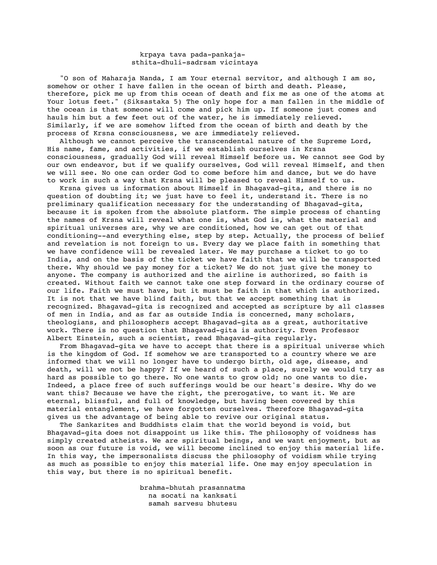krpaya tava pada-pankaja sthita-dhuli-sadrsam vicintaya

 "O son of Maharaja Nanda, I am Your eternal servitor, and although I am so, somehow or other I have fallen in the ocean of birth and death. Please, therefore, pick me up from this ocean of death and fix me as one of the atoms at Your lotus feet." (Siksastaka 5) The only hope for a man fallen in the middle of the ocean is that someone will come and pick him up. If someone just comes and hauls him but a few feet out of the water, he is immediately relieved. Similarly, if we are somehow lifted from the ocean of birth and death by the process of Krsna consciousness, we are immediately relieved.

 Although we cannot perceive the transcendental nature of the Supreme Lord, His name, fame, and activities, if we establish ourselves in Krsna consciousness, gradually God will reveal Himself before us. We cannot see God by our own endeavor, but if we qualify ourselves, God will reveal Himself, and then we will see. No one can order God to come before him and dance, but we do have to work in such a way that Krsna will be pleased to reveal Himself to us.

 Krsna gives us information about Himself in Bhagavad-gita, and there is no question of doubting it; we just have to feel it, understand it. There is no preliminary qualification necessary for the understanding of Bhagavad-gita, because it is spoken from the absolute platform. The simple process of chanting the names of Krsna will reveal what one is, what God is, what the material and spiritual universes are, why we are conditioned, how we can get out of that conditioning--and everything else, step by step. Actually, the process of belief and revelation is not foreign to us. Every day we place faith in something that we have confidence will be revealed later. We may purchase a ticket to go to India, and on the basis of the ticket we have faith that we will be transported there. Why should we pay money for a ticket? We do not just give the money to anyone. The company is authorized and the airline is authorized, so faith is created. Without faith we cannot take one step forward in the ordinary course of our life. Faith we must have, but it must be faith in that which is authorized. It is not that we have blind faith, but that we accept something that is recognized. Bhagavad-gita is recognized and accepted as scripture by all classes of men in India, and as far as outside India is concerned, many scholars, theologians, and philosophers accept Bhagavad-gita as a great, authoritative work. There is no question that Bhagavad-gita is authority. Even Professor Albert Einstein, such a scientist, read Bhagavad-gita regularly.

 From Bhagavad-gita we have to accept that there is a spiritual universe which is the kingdom of God. If somehow we are transported to a country where we are informed that we will no longer have to undergo birth, old age, disease, and death, will we not be happy? If we heard of such a place, surely we would try as hard as possible to go there. No one wants to grow old; no one wants to die. Indeed, a place free of such sufferings would be our heart's desire. Why do we want this? Because we have the right, the prerogative, to want it. We are eternal, blissful, and full of knowledge, but having been covered by this material entanglement, we have forgotten ourselves. Therefore Bhagavad-gita gives us the advantage of being able to revive our original status.

 The Sankarites and Buddhists claim that the world beyond is void, but Bhagavad-gita does not disappoint us like this. The philosophy of voidness has simply created atheists. We are spiritual beings, and we want enjoyment, but as soon as our future is void, we will become inclined to enjoy this material life. In this way, the impersonalists discuss the philosophy of voidism while trying as much as possible to enjoy this material life. One may enjoy speculation in this way, but there is no spiritual benefit.

> brahma-bhutah prasannatma na socati na kanksati samah sarvesu bhutesu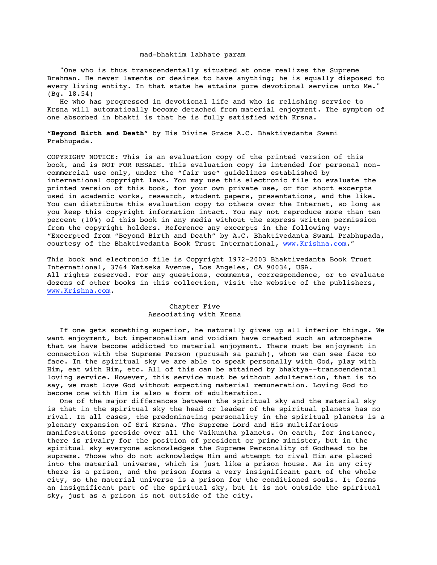#### mad-bhaktim labhate param

 "One who is thus transcendentally situated at once realizes the Supreme Brahman. He never laments or desires to have anything; he is equally disposed to every living entity. In that state he attains pure devotional service unto Me." (Bg. 18.54)

 He who has progressed in devotional life and who is relishing service to Krsna will automatically become detached from material enjoyment. The symptom of one absorbed in bhakti is that he is fully satisfied with Krsna.

## "**Beyond Birth and Death**" by His Divine Grace A.C. Bhaktivedanta Swami Prabhupada.

COPYRIGHT NOTICE: This is an evaluation copy of the printed version of this book, and is NOT FOR RESALE. This evaluation copy is intended for personal noncommercial use only, under the "fair use" guidelines established by international copyright laws. You may use this electronic file to evaluate the printed version of this book, for your own private use, or for short excerpts used in academic works, research, student papers, presentations, and the like. You can distribute this evaluation copy to others over the Internet, so long as you keep this copyright information intact. You may not reproduce more than ten percent (10%) of this book in any media without the express written permission from the copyright holders. Reference any excerpts in the following way: "Excerpted from "Beyond Birth and Death" by A.C. Bhaktivedanta Swami Prabhupada, courtesy of the Bhaktivedanta Book Trust International, www.Krishna.com."

This book and electronic file is Copyright 1972-2003 Bhaktivedanta Book Trust International, 3764 Watseka Avenue, Los Angeles, CA 90034, USA. All rights reserved. For any questions, comments, correspondence, or to evaluate dozens of other books in this collection, visit the website of the publishers, www.Krishna.com.

## Chapter Five Associating with Krsna

 If one gets something superior, he naturally gives up all inferior things. We want enjoyment, but impersonalism and voidism have created such an atmosphere that we have become addicted to material enjoyment. There must be enjoyment in connection with the Supreme Person (purusah sa parah), whom we can see face to face. In the spiritual sky we are able to speak personally with God, play with Him, eat with Him, etc. All of this can be attained by bhaktya--transcendental loving service. However, this service must be without adulteration, that is to say, we must love God without expecting material remuneration. Loving God to become one with Him is also a form of adulteration.

 One of the major differences between the spiritual sky and the material sky is that in the spiritual sky the head or leader of the spiritual planets has no rival. In all cases, the predominating personality in the spiritual planets is a plenary expansion of Sri Krsna. The Supreme Lord and His multifarious manifestations preside over all the Vaikuntha planets. On earth, for instance, there is rivalry for the position of president or prime minister, but in the spiritual sky everyone acknowledges the Supreme Personality of Godhead to be supreme. Those who do not acknowledge Him and attempt to rival Him are placed into the material universe, which is just like a prison house. As in any city there is a prison, and the prison forms a very insignificant part of the whole city, so the material universe is a prison for the conditioned souls. It forms an insignificant part of the spiritual sky, but it is not outside the spiritual sky, just as a prison is not outside of the city.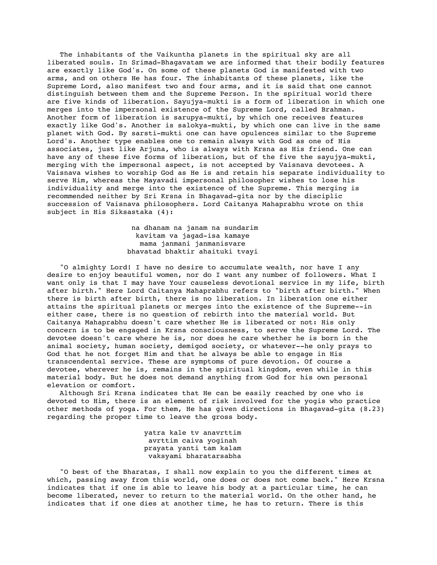The inhabitants of the Vaikuntha planets in the spiritual sky are all liberated souls. In Srimad-Bhagavatam we are informed that their bodily features are exactly like God's. On some of these planets God is manifested with two arms, and on others He has four. The inhabitants of these planets, like the Supreme Lord, also manifest two and four arms, and it is said that one cannot distinguish between them and the Supreme Person. In the spiritual world there are five kinds of liberation. Sayujya-mukti is a form of liberation in which one merges into the impersonal existence of the Supreme Lord, called Brahman. Another form of liberation is sarupya-mukti, by which one receives features exactly like God's. Another is salokya-mukti, by which one can live in the same planet with God. By sarsti-mukti one can have opulences similar to the Supreme Lord's. Another type enables one to remain always with God as one of His associates, just like Arjuna, who is always with Krsna as His friend. One can have any of these five forms of liberation, but of the five the sayujya-mukti, merging with the impersonal aspect, is not accepted by Vaisnava devotees. A Vaisnava wishes to worship God as He is and retain his separate individuality to serve Him, whereas the Mayavadi impersonal philosopher wishes to lose his individuality and merge into the existence of the Supreme. This merging is recommended neither by Sri Krsna in Bhagavad-gita nor by the disciplic succession of Vaisnava philosophers. Lord Caitanya Mahaprabhu wrote on this subject in His Siksastaka (4):

> na dhanam na janam na sundarim kavitam va jagad-isa kamaye mama janmani janmanisvare bhavatad bhaktir ahaituki tvayi

 "O almighty Lord! I have no desire to accumulate wealth, nor have I any desire to enjoy beautiful women, nor do I want any number of followers. What I want only is that I may have Your causeless devotional service in my life, birth after birth." Here Lord Caitanya Mahaprabhu refers to "birth after birth." When there is birth after birth, there is no liberation. In liberation one either attains the spiritual planets or merges into the existence of the Supreme--in either case, there is no question of rebirth into the material world. But Caitanya Mahaprabhu doesn't care whether He is liberated or not: His only concern is to be engaged in Krsna consciousness, to serve the Supreme Lord. The devotee doesn't care where he is, nor does he care whether he is born in the animal society, human society, demigod society, or whatever--he only prays to God that he not forget Him and that he always be able to engage in His transcendental service. These are symptoms of pure devotion. Of course a devotee, wherever he is, remains in the spiritual kingdom, even while in this material body. But he does not demand anything from God for his own personal elevation or comfort.

 Although Sri Krsna indicates that He can be easily reached by one who is devoted to Him, there is an element of risk involved for the yogis who practice other methods of yoga. For them, He has given directions in Bhagavad-gita (8.23) regarding the proper time to leave the gross body.

> yatra kale tv anavrttim avrttim caiva yoginah prayata yanti tam kalam vaksyami bharatarsabha

 "O best of the Bharatas, I shall now explain to you the different times at which, passing away from this world, one does or does not come back." Here Krsna indicates that if one is able to leave his body at a particular time, he can become liberated, never to return to the material world. On the other hand, he indicates that if one dies at another time, he has to return. There is this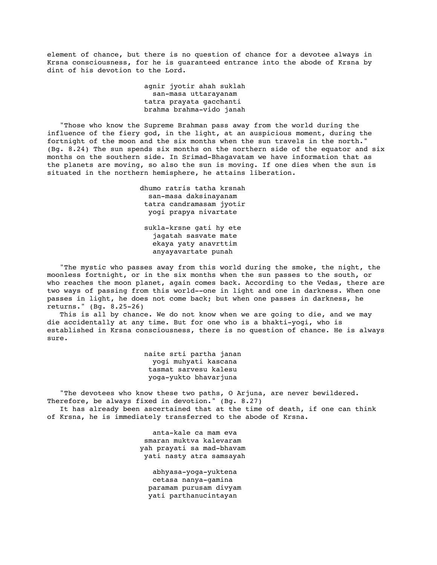element of chance, but there is no question of chance for a devotee always in Krsna consciousness, for he is guaranteed entrance into the abode of Krsna by dint of his devotion to the Lord.

> agnir jyotir ahah suklah san-masa uttarayanam tatra prayata gacchanti brahma brahma-vido janah

 "Those who know the Supreme Brahman pass away from the world during the influence of the fiery god, in the light, at an auspicious moment, during the fortnight of the moon and the six months when the sun travels in the north." (Bg. 8.24) The sun spends six months on the northern side of the equator and six months on the southern side. In Srimad-Bhagavatam we have information that as the planets are moving, so also the sun is moving. If one dies when the sun is situated in the northern hemisphere, he attains liberation.

> dhumo ratris tatha krsnah san-masa daksinayanam tatra candramasam jyotir yogi prapya nivartate sukla-krsne gati hy ete jagatah sasvate mate

 ekaya yaty anavrttim anyayavartate punah

 "The mystic who passes away from this world during the smoke, the night, the moonless fortnight, or in the six months when the sun passes to the south, or who reaches the moon planet, again comes back. According to the Vedas, there are two ways of passing from this world--one in light and one in darkness. When one passes in light, he does not come back; but when one passes in darkness, he returns." (Bg. 8.25-26)

 This is all by chance. We do not know when we are going to die, and we may die accidentally at any time. But for one who is a bhakti-yogi, who is established in Krsna consciousness, there is no question of chance. He is always sure.

> naite srti partha janan yogi muhyati kascana tasmat sarvesu kalesu yoga-yukto bhavarjuna

 "The devotees who know these two paths, O Arjuna, are never bewildered. Therefore, be always fixed in devotion." (Bg. 8.27)

 It has already been ascertained that at the time of death, if one can think of Krsna, he is immediately transferred to the abode of Krsna.

> anta-kale ca mam eva smaran muktva kalevaram yah prayati sa mad-bhavam yati nasty atra samsayah

 abhyasa-yoga-yuktena cetasa nanya-gamina paramam purusam divyam yati parthanucintayan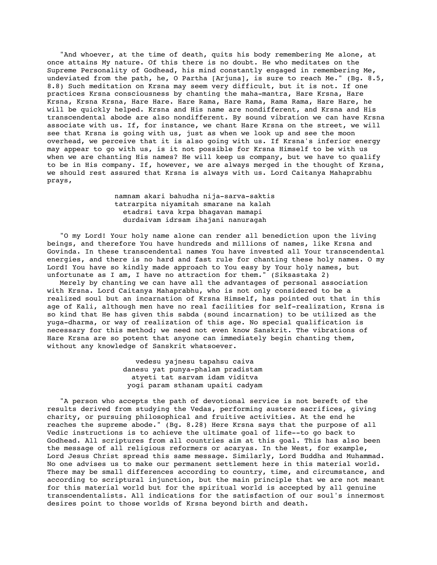"And whoever, at the time of death, quits his body remembering Me alone, at once attains My nature. Of this there is no doubt. He who meditates on the Supreme Personality of Godhead, his mind constantly engaged in remembering Me, undeviated from the path, he, O Partha [Arjuna], is sure to reach Me." (Bg. 8.5, 8.8) Such meditation on Krsna may seem very difficult, but it is not. If one practices Krsna consciousness by chanting the maha-mantra, Hare Krsna, Hare Krsna, Krsna Krsna, Hare Hare. Hare Rama, Hare Rama, Rama Rama, Hare Hare, he will be quickly helped. Krsna and His name are nondifferent, and Krsna and His transcendental abode are also nondifferent. By sound vibration we can have Krsna associate with us. If, for instance, we chant Hare Krsna on the street, we will see that Krsna is going with us, just as when we look up and see the moon overhead, we perceive that it is also going with us. If Krsna's inferior energy may appear to go with us, is it not possible for Krsna Himself to be with us when we are chanting His names? He will keep us company, but we have to qualify to be in His company. If, however, we are always merged in the thought of Krsna, we should rest assured that Krsna is always with us. Lord Caitanya Mahaprabhu prays,

> namnam akari bahudha nija-sarva-saktis tatrarpita niyamitah smarane na kalah etadrsi tava krpa bhagavan mamapi durdaivam idrsam ihajani nanuragah

 "O my Lord! Your holy name alone can render all benediction upon the living beings, and therefore You have hundreds and millions of names, like Krsna and Govinda. In these transcendental names You have invested all Your transcendental energies, and there is no hard and fast rule for chanting these holy names. O my Lord! You have so kindly made approach to You easy by Your holy names, but unfortunate as I am, I have no attraction for them." (Siksastaka 2)

 Merely by chanting we can have all the advantages of personal association with Krsna. Lord Caitanya Mahaprabhu, who is not only considered to be a realized soul but an incarnation of Krsna Himself, has pointed out that in this age of Kali, although men have no real facilities for self-realization, Krsna is so kind that He has given this sabda (sound incarnation) to be utilized as the yuga-dharma, or way of realization of this age. No special qualification is necessary for this method; we need not even know Sanskrit. The vibrations of Hare Krsna are so potent that anyone can immediately begin chanting them, without any knowledge of Sanskrit whatsoever.

> vedesu yajnesu tapahsu caiva danesu yat punya-phalam pradistam atyeti tat sarvam idam viditva yogi param sthanam upaiti cadyam

 "A person who accepts the path of devotional service is not bereft of the results derived from studying the Vedas, performing austere sacrifices, giving charity, or pursuing philosophical and fruitive activities. At the end he reaches the supreme abode." (Bg. 8.28) Here Krsna says that the purpose of all Vedic instructions is to achieve the ultimate goal of life--to go back to Godhead. All scriptures from all countries aim at this goal. This has also been the message of all religious reformers or acaryas. In the West, for example, Lord Jesus Christ spread this same message. Similarly, Lord Buddha and Muhammad. No one advises us to make our permanent settlement here in this material world. There may be small differences according to country, time, and circumstance, and according to scriptural injunction, but the main principle that we are not meant for this material world but for the spiritual world is accepted by all genuine transcendentalists. All indications for the satisfaction of our soul's innermost desires point to those worlds of Krsna beyond birth and death.